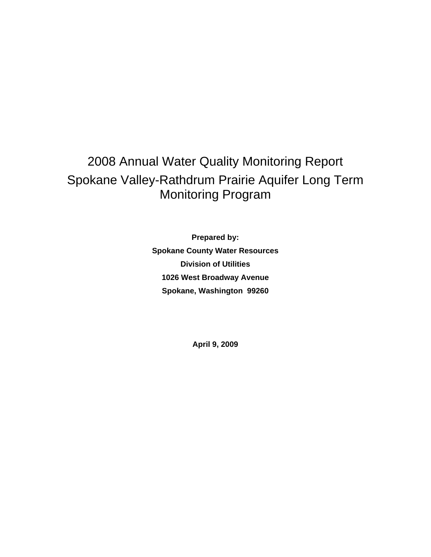# 2008 Annual Water Quality Monitoring Report Spokane Valley-Rathdrum Prairie Aquifer Long Term Monitoring Program

**Prepared by: Spokane County Water Resources Division of Utilities 1026 West Broadway Avenue Spokane, Washington 99260** 

**April 9, 2009**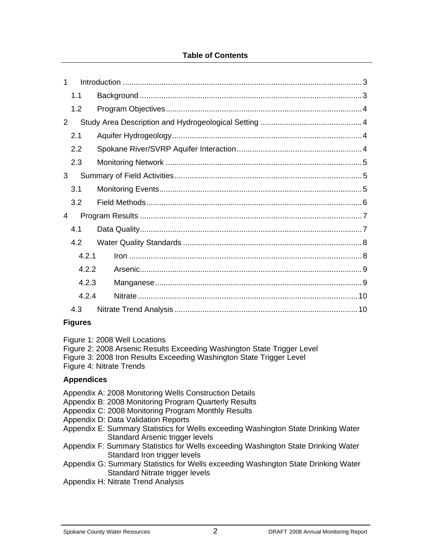#### **Table of Contents**

| $\mathbf 1$ |       |  |  |  |  |
|-------------|-------|--|--|--|--|
| 1.1         |       |  |  |  |  |
|             | 1.2   |  |  |  |  |
| 2           |       |  |  |  |  |
|             | 2.1   |  |  |  |  |
|             | 2.2   |  |  |  |  |
|             | 2.3   |  |  |  |  |
| 3           |       |  |  |  |  |
|             | 3.1   |  |  |  |  |
|             | 3.2   |  |  |  |  |
| 4           |       |  |  |  |  |
|             | 4.1   |  |  |  |  |
|             | 4.2   |  |  |  |  |
| 4.2.1       |       |  |  |  |  |
|             | 4.2.2 |  |  |  |  |
|             | 4.2.3 |  |  |  |  |
|             | 4.2.4 |  |  |  |  |
|             | 4.3   |  |  |  |  |

#### **Figures**

Figure 1: 2008 Well Locations

Figure 2: 2008 Arsenic Results Exceeding Washington State Trigger Level

Figure 3: 2008 Iron Results Exceeding Washington State Trigger Level

Figure 4: Nitrate Trends

#### **Appendices**

- Appendix A: 2008 Monitoring Wells Construction Details
- Appendix B: 2008 Monitoring Program Quarterly Results
- Appendix C: 2008 Monitoring Program Monthly Results
- Appendix D: Data Validation Reports
- Appendix E: Summary Statistics for Wells exceeding Washington State Drinking Water Standard Arsenic trigger levels
- Appendix F: Summary Statistics for Wells exceeding Washington State Drinking Water Standard Iron trigger levels
- Appendix G: Summary Statistics for Wells exceeding Washington State Drinking Water Standard Nitrate trigger levels
- Appendix H: Nitrate Trend Analysis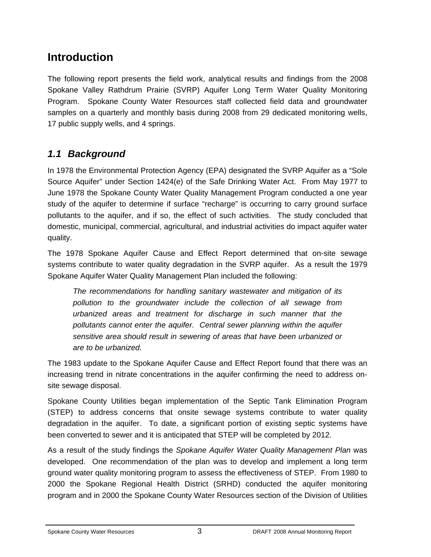## **Introduction**

The following report presents the field work, analytical results and findings from the 2008 Spokane Valley Rathdrum Prairie (SVRP) Aquifer Long Term Water Quality Monitoring Program. Spokane County Water Resources staff collected field data and groundwater samples on a quarterly and monthly basis during 2008 from 29 dedicated monitoring wells, 17 public supply wells, and 4 springs.

## *1.1 Background*

In 1978 the Environmental Protection Agency (EPA) designated the SVRP Aquifer as a "Sole Source Aquifer" under Section 1424(e) of the Safe Drinking Water Act. From May 1977 to June 1978 the Spokane County Water Quality Management Program conducted a one year study of the aquifer to determine if surface "recharge" is occurring to carry ground surface pollutants to the aquifer, and if so, the effect of such activities. The study concluded that domestic, municipal, commercial, agricultural, and industrial activities do impact aquifer water quality.

The 1978 Spokane Aquifer Cause and Effect Report determined that on-site sewage systems contribute to water quality degradation in the SVRP aquifer. As a result the 1979 Spokane Aquifer Water Quality Management Plan included the following:

*The recommendations for handling sanitary wastewater and mitigation of its pollution to the groundwater include the collection of all sewage from urbanized areas and treatment for discharge in such manner that the pollutants cannot enter the aquifer. Central sewer planning within the aquifer sensitive area should result in sewering of areas that have been urbanized or are to be urbanized.* 

The 1983 update to the Spokane Aquifer Cause and Effect Report found that there was an increasing trend in nitrate concentrations in the aquifer confirming the need to address onsite sewage disposal.

Spokane County Utilities began implementation of the Septic Tank Elimination Program (STEP) to address concerns that onsite sewage systems contribute to water quality degradation in the aquifer. To date, a significant portion of existing septic systems have been converted to sewer and it is anticipated that STEP will be completed by 2012.

As a result of the study findings the *Spokane Aquifer Water Quality Management Plan* was developed. One recommendation of the plan was to develop and implement a long term ground water quality monitoring program to assess the effectiveness of STEP. From 1980 to 2000 the Spokane Regional Health District (SRHD) conducted the aquifer monitoring program and in 2000 the Spokane County Water Resources section of the Division of Utilities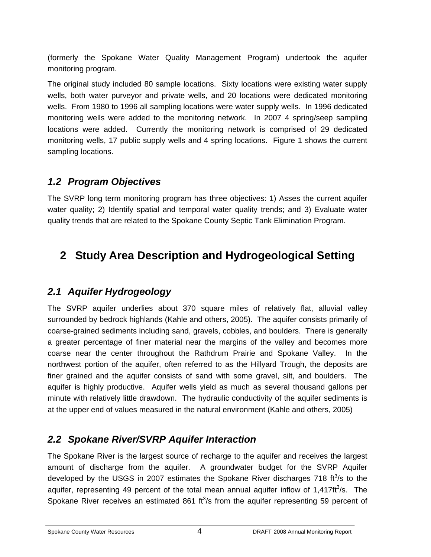(formerly the Spokane Water Quality Management Program) undertook the aquifer monitoring program.

The original study included 80 sample locations. Sixty locations were existing water supply wells, both water purveyor and private wells, and 20 locations were dedicated monitoring wells. From 1980 to 1996 all sampling locations were water supply wells. In 1996 dedicated monitoring wells were added to the monitoring network. In 2007 4 spring/seep sampling locations were added. Currently the monitoring network is comprised of 29 dedicated monitoring wells, 17 public supply wells and 4 spring locations. Figure 1 shows the current sampling locations.

### *1.2 Program Objectives*

The SVRP long term monitoring program has three objectives: 1) Asses the current aquifer water quality; 2) Identify spatial and temporal water quality trends; and 3) Evaluate water quality trends that are related to the Spokane County Septic Tank Elimination Program.

# **2 Study Area Description and Hydrogeological Setting**

### *2.1 Aquifer Hydrogeology*

The SVRP aquifer underlies about 370 square miles of relatively flat, alluvial valley surrounded by bedrock highlands (Kahle and others, 2005). The aquifer consists primarily of coarse-grained sediments including sand, gravels, cobbles, and boulders. There is generally a greater percentage of finer material near the margins of the valley and becomes more coarse near the center throughout the Rathdrum Prairie and Spokane Valley. In the northwest portion of the aquifer, often referred to as the Hillyard Trough, the deposits are finer grained and the aquifer consists of sand with some gravel, silt, and boulders. The aquifer is highly productive. Aquifer wells yield as much as several thousand gallons per minute with relatively little drawdown. The hydraulic conductivity of the aquifer sediments is at the upper end of values measured in the natural environment (Kahle and others, 2005)

## *2.2 Spokane River/SVRP Aquifer Interaction*

The Spokane River is the largest source of recharge to the aquifer and receives the largest amount of discharge from the aquifer. A groundwater budget for the SVRP Aquifer developed by the USGS in 2007 estimates the Spokane River discharges 718 ft<sup>3</sup>/s to the aquifer, representing 49 percent of the total mean annual aquifer inflow of  $1,417 \text{ft}^3/\text{s}$ . The Spokane River receives an estimated 861  $ft^3/s$  from the aquifer representing 59 percent of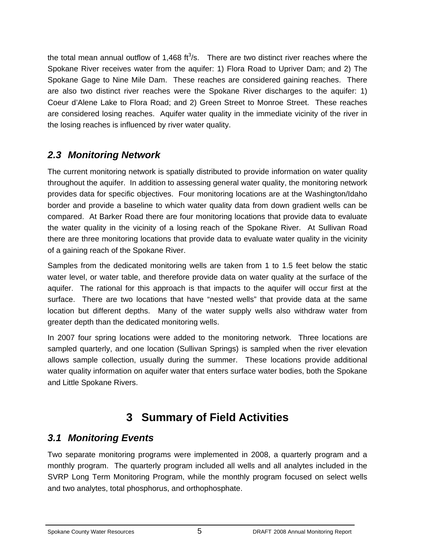the total mean annual outflow of 1,468  $\text{ft}^3\text{/s}$ . There are two distinct river reaches where the Spokane River receives water from the aquifer: 1) Flora Road to Upriver Dam; and 2) The Spokane Gage to Nine Mile Dam. These reaches are considered gaining reaches. There are also two distinct river reaches were the Spokane River discharges to the aquifer: 1) Coeur d'Alene Lake to Flora Road; and 2) Green Street to Monroe Street. These reaches are considered losing reaches. Aquifer water quality in the immediate vicinity of the river in the losing reaches is influenced by river water quality.

### *2.3 Monitoring Network*

The current monitoring network is spatially distributed to provide information on water quality throughout the aquifer. In addition to assessing general water quality, the monitoring network provides data for specific objectives. Four monitoring locations are at the Washington/Idaho border and provide a baseline to which water quality data from down gradient wells can be compared. At Barker Road there are four monitoring locations that provide data to evaluate the water quality in the vicinity of a losing reach of the Spokane River. At Sullivan Road there are three monitoring locations that provide data to evaluate water quality in the vicinity of a gaining reach of the Spokane River.

Samples from the dedicated monitoring wells are taken from 1 to 1.5 feet below the static water level, or water table, and therefore provide data on water quality at the surface of the aquifer. The rational for this approach is that impacts to the aquifer will occur first at the surface. There are two locations that have "nested wells" that provide data at the same location but different depths. Many of the water supply wells also withdraw water from greater depth than the dedicated monitoring wells.

In 2007 four spring locations were added to the monitoring network. Three locations are sampled quarterly, and one location (Sullivan Springs) is sampled when the river elevation allows sample collection, usually during the summer. These locations provide additional water quality information on aquifer water that enters surface water bodies, both the Spokane and Little Spokane Rivers.

# **3 Summary of Field Activities**

### *3.1 Monitoring Events*

Two separate monitoring programs were implemented in 2008, a quarterly program and a monthly program. The quarterly program included all wells and all analytes included in the SVRP Long Term Monitoring Program, while the monthly program focused on select wells and two analytes, total phosphorus, and orthophosphate.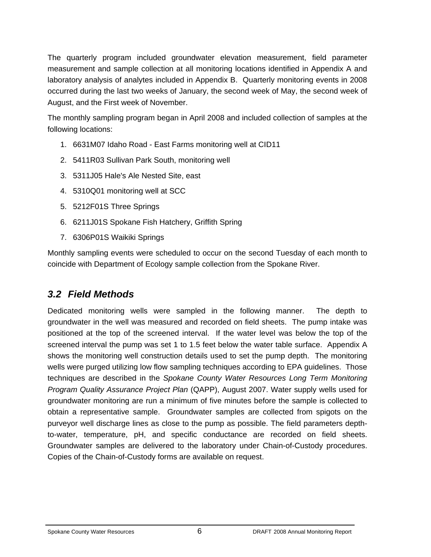The quarterly program included groundwater elevation measurement, field parameter measurement and sample collection at all monitoring locations identified in Appendix A and laboratory analysis of analytes included in Appendix B. Quarterly monitoring events in 2008 occurred during the last two weeks of January, the second week of May, the second week of August, and the First week of November.

The monthly sampling program began in April 2008 and included collection of samples at the following locations:

- 1. 6631M07 Idaho Road East Farms monitoring well at CID11
- 2. 5411R03 Sullivan Park South, monitoring well
- 3. 5311J05 Hale's Ale Nested Site, east
- 4. 5310Q01 monitoring well at SCC
- 5. 5212F01S Three Springs
- 6. 6211J01S Spokane Fish Hatchery, Griffith Spring
- 7. 6306P01S Waikiki Springs

Monthly sampling events were scheduled to occur on the second Tuesday of each month to coincide with Department of Ecology sample collection from the Spokane River.

### *3.2 Field Methods*

Dedicated monitoring wells were sampled in the following manner. The depth to groundwater in the well was measured and recorded on field sheets. The pump intake was positioned at the top of the screened interval. If the water level was below the top of the screened interval the pump was set 1 to 1.5 feet below the water table surface. Appendix A shows the monitoring well construction details used to set the pump depth. The monitoring wells were purged utilizing low flow sampling techniques according to EPA guidelines. Those techniques are described in the *Spokane County Water Resources Long Term Monitoring Program Quality Assurance Project Plan* (QAPP), August 2007. Water supply wells used for groundwater monitoring are run a minimum of five minutes before the sample is collected to obtain a representative sample. Groundwater samples are collected from spigots on the purveyor well discharge lines as close to the pump as possible. The field parameters depthto-water, temperature, pH, and specific conductance are recorded on field sheets. Groundwater samples are delivered to the laboratory under Chain-of-Custody procedures. Copies of the Chain-of-Custody forms are available on request.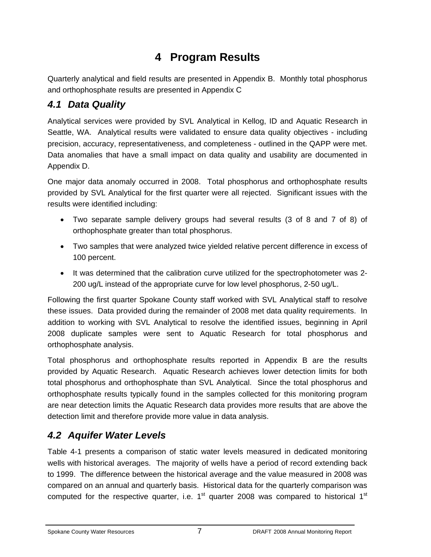# **4 Program Results**

Quarterly analytical and field results are presented in Appendix B. Monthly total phosphorus and orthophosphate results are presented in Appendix C

## *4.1 Data Quality*

Analytical services were provided by SVL Analytical in Kellog, ID and Aquatic Research in Seattle, WA. Analytical results were validated to ensure data quality objectives - including precision, accuracy, representativeness, and completeness - outlined in the QAPP were met. Data anomalies that have a small impact on data quality and usability are documented in Appendix D.

One major data anomaly occurred in 2008. Total phosphorus and orthophosphate results provided by SVL Analytical for the first quarter were all rejected. Significant issues with the results were identified including:

- Two separate sample delivery groups had several results (3 of 8 and 7 of 8) of orthophosphate greater than total phosphorus.
- Two samples that were analyzed twice yielded relative percent difference in excess of 100 percent.
- It was determined that the calibration curve utilized for the spectrophotometer was 2- 200 ug/L instead of the appropriate curve for low level phosphorus, 2-50 ug/L.

Following the first quarter Spokane County staff worked with SVL Analytical staff to resolve these issues. Data provided during the remainder of 2008 met data quality requirements. In addition to working with SVL Analytical to resolve the identified issues, beginning in April 2008 duplicate samples were sent to Aquatic Research for total phosphorus and orthophosphate analysis.

Total phosphorus and orthophosphate results reported in Appendix B are the results provided by Aquatic Research. Aquatic Research achieves lower detection limits for both total phosphorus and orthophosphate than SVL Analytical. Since the total phosphorus and orthophosphate results typically found in the samples collected for this monitoring program are near detection limits the Aquatic Research data provides more results that are above the detection limit and therefore provide more value in data analysis.

## *4.2 Aquifer Water Levels*

Table 4-1 presents a comparison of static water levels measured in dedicated monitoring wells with historical averages. The majority of wells have a period of record extending back to 1999. The difference between the historical average and the value measured in 2008 was compared on an annual and quarterly basis. Historical data for the quarterly comparison was computed for the respective quarter, i.e.  $1<sup>st</sup>$  quarter 2008 was compared to historical  $1<sup>st</sup>$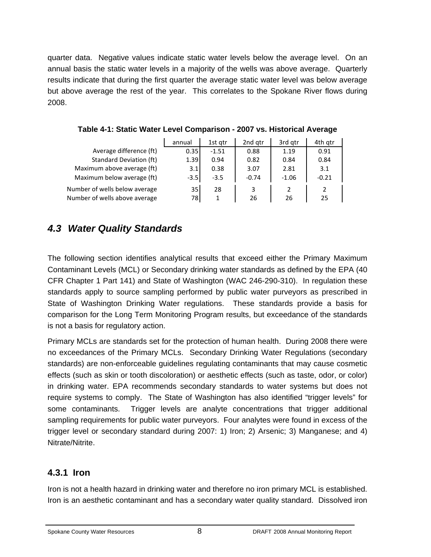quarter data. Negative values indicate static water levels below the average level. On an annual basis the static water levels in a majority of the wells was above average. Quarterly results indicate that during the first quarter the average static water level was below average but above average the rest of the year. This correlates to the Spokane River flows during 2008.

|                               | annual | 1st atr | 2nd gtr | 3rd gtr | 4th qtr |
|-------------------------------|--------|---------|---------|---------|---------|
| Average difference (ft)       | 0.35   | $-1.51$ | 0.88    | 1.19    | 0.91    |
| Standard Deviation (ft)       | 1.39   | 0.94    | 0.82    | 0.84    | 0.84    |
| Maximum above average (ft)    | 3.1    | 0.38    | 3.07    | 2.81    | 3.1     |
| Maximum below average (ft)    | $-3.5$ | $-3.5$  | $-0.74$ | $-1.06$ | $-0.21$ |
| Number of wells below average | 35     | 28      | 3       |         | 2       |
| Number of wells above average | 78     |         | 26      | 26      | 25      |

#### **Table 4-1: Static Water Level Comparison - 2007 vs. Historical Average**

### *4.3 Water Quality Standards*

The following section identifies analytical results that exceed either the Primary Maximum Contaminant Levels (MCL) or Secondary drinking water standards as defined by the EPA (40 CFR Chapter 1 Part 141) and State of Washington (WAC 246-290-310). In regulation these standards apply to source sampling performed by public water purveyors as prescribed in State of Washington Drinking Water regulations. These standards provide a basis for comparison for the Long Term Monitoring Program results, but exceedance of the standards is not a basis for regulatory action.

Primary MCLs are standards set for the protection of human health. During 2008 there were no exceedances of the Primary MCLs. Secondary Drinking Water Regulations (secondary standards) are non-enforceable guidelines regulating contaminants that may cause cosmetic effects (such as skin or tooth discoloration) or aesthetic effects (such as taste, odor, or color) in drinking water. EPA recommends secondary standards to water systems but does not require systems to comply. The State of Washington has also identified "trigger levels" for some contaminants. Trigger levels are analyte concentrations that trigger additional sampling requirements for public water purveyors. Four analytes were found in excess of the trigger level or secondary standard during 2007: 1) Iron; 2) Arsenic; 3) Manganese; and 4) Nitrate/Nitrite.

#### **4.3.1 Iron**

Iron is not a health hazard in drinking water and therefore no iron primary MCL is established. Iron is an aesthetic contaminant and has a secondary water quality standard. Dissolved iron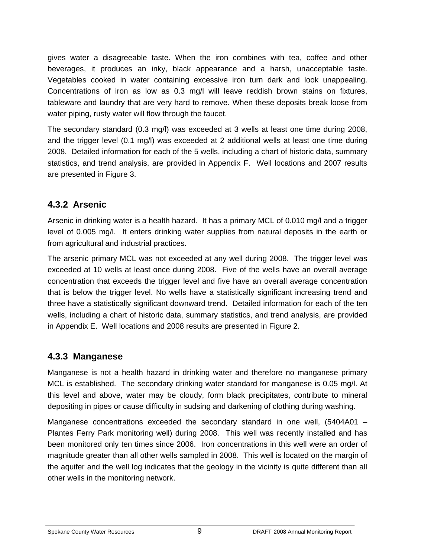gives water a disagreeable taste. When the iron combines with tea, coffee and other beverages, it produces an inky, black appearance and a harsh, unacceptable taste. Vegetables cooked in water containing excessive iron turn dark and look unappealing. Concentrations of iron as low as 0.3 mg/l will leave reddish brown stains on fixtures, tableware and laundry that are very hard to remove. When these deposits break loose from water piping, rusty water will flow through the faucet.

The secondary standard (0.3 mg/l) was exceeded at 3 wells at least one time during 2008, and the trigger level (0.1 mg/l) was exceeded at 2 additional wells at least one time during 2008. Detailed information for each of the 5 wells, including a chart of historic data, summary statistics, and trend analysis, are provided in Appendix F. Well locations and 2007 results are presented in Figure 3.

#### **4.3.2 Arsenic**

Arsenic in drinking water is a health hazard. It has a primary MCL of 0.010 mg/l and a trigger level of 0.005 mg/l. It enters drinking water supplies from natural deposits in the earth or from agricultural and industrial practices.

The arsenic primary MCL was not exceeded at any well during 2008. The trigger level was exceeded at 10 wells at least once during 2008. Five of the wells have an overall average concentration that exceeds the trigger level and five have an overall average concentration that is below the trigger level. No wells have a statistically significant increasing trend and three have a statistically significant downward trend. Detailed information for each of the ten wells, including a chart of historic data, summary statistics, and trend analysis, are provided in Appendix E. Well locations and 2008 results are presented in Figure 2.

#### **4.3.3 Manganese**

Manganese is not a health hazard in drinking water and therefore no manganese primary MCL is established. The secondary drinking water standard for manganese is 0.05 mg/l. At this level and above, water may be cloudy, form black precipitates, contribute to mineral depositing in pipes or cause difficulty in sudsing and darkening of clothing during washing.

Manganese concentrations exceeded the secondary standard in one well, (5404A01 – Plantes Ferry Park monitoring well) during 2008. This well was recently installed and has been monitored only ten times since 2006. Iron concentrations in this well were an order of magnitude greater than all other wells sampled in 2008. This well is located on the margin of the aquifer and the well log indicates that the geology in the vicinity is quite different than all other wells in the monitoring network.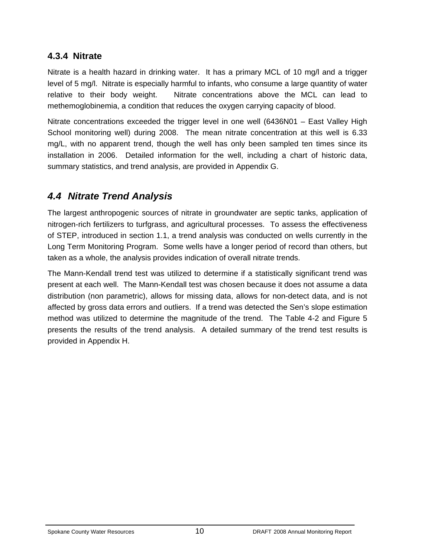#### **4.3.4 Nitrate**

Nitrate is a health hazard in drinking water. It has a primary MCL of 10 mg/l and a trigger level of 5 mg/l. Nitrate is especially harmful to infants, who consume a large quantity of water relative to their body weight. Nitrate concentrations above the MCL can lead to methemoglobinemia, a condition that reduces the oxygen carrying capacity of blood.

Nitrate concentrations exceeded the trigger level in one well (6436N01 – East Valley High School monitoring well) during 2008. The mean nitrate concentration at this well is 6.33 mg/L, with no apparent trend, though the well has only been sampled ten times since its installation in 2006. Detailed information for the well, including a chart of historic data, summary statistics, and trend analysis, are provided in Appendix G.

## *4.4 Nitrate Trend Analysis*

The largest anthropogenic sources of nitrate in groundwater are septic tanks, application of nitrogen-rich fertilizers to turfgrass, and agricultural processes. To assess the effectiveness of STEP, introduced in section 1.1, a trend analysis was conducted on wells currently in the Long Term Monitoring Program. Some wells have a longer period of record than others, but taken as a whole, the analysis provides indication of overall nitrate trends.

The Mann-Kendall trend test was utilized to determine if a statistically significant trend was present at each well. The Mann-Kendall test was chosen because it does not assume a data distribution (non parametric), allows for missing data, allows for non-detect data, and is not affected by gross data errors and outliers. If a trend was detected the Sen's slope estimation method was utilized to determine the magnitude of the trend. The Table 4-2 and Figure 5 presents the results of the trend analysis. A detailed summary of the trend test results is provided in Appendix H.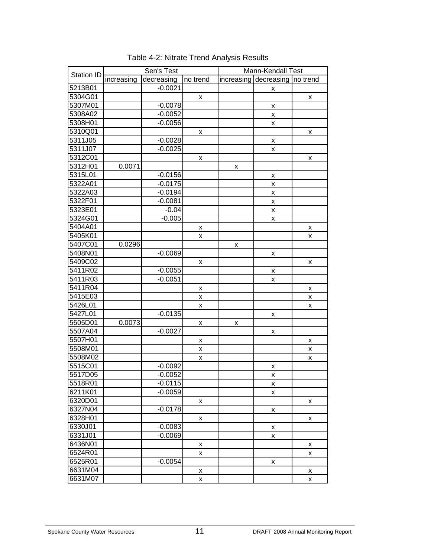|                   | Sen's Test |            |          | Mann-Kendall Test |                     |   |
|-------------------|------------|------------|----------|-------------------|---------------------|---|
| <b>Station ID</b> | increasing | decreasing | no trend | increasing        | decreasing no trend |   |
| 5213B01           |            | $-0.0021$  |          |                   | X                   |   |
| 5304G01           |            |            | x        |                   |                     | x |
| 5307M01           |            | $-0.0078$  |          |                   | X                   |   |
| 5308A02           |            | $-0.0052$  |          |                   | X                   |   |
| 5308H01           |            | $-0.0056$  |          |                   | X                   |   |
| 5310Q01           |            |            | x        |                   |                     | x |
| 5311J05           |            | $-0.0028$  |          |                   | X                   |   |
| 5311J07           |            | $-0.0025$  |          |                   | x                   |   |
| 5312C01           |            |            | x        |                   |                     | X |
| 5312H01           | 0.0071     |            |          | X                 |                     |   |
| 5315L01           |            | $-0.0156$  |          |                   | X                   |   |
| 5322A01           |            | $-0.0175$  |          |                   | X                   |   |
| 5322A03           |            | $-0.0194$  |          |                   | X                   |   |
| 5322F01           |            | $-0.0081$  |          |                   | X                   |   |
| 5323E01           |            | $-0.04$    |          |                   | $\pmb{\mathsf{x}}$  |   |
| 5324G01           |            | $-0.005$   |          |                   | X                   |   |
| 5404A01           |            |            | x        |                   |                     | X |
| 5405K01           |            |            | X        |                   |                     | x |
| 5407C01           | 0.0296     |            |          | x                 |                     |   |
| 5408N01           |            | $-0.0069$  |          |                   | X                   |   |
| 5409C02           |            |            | x        |                   |                     | X |
| 5411R02           |            | $-0.0055$  |          |                   | X                   |   |
| 5411R03           |            | $-0.0051$  |          |                   | x                   |   |
| 5411R04           |            |            | X        |                   |                     | X |
| 5415E03           |            |            | x        |                   |                     | X |
| 5426L01           |            |            | X        |                   |                     | X |
| 5427L01           |            | $-0.0135$  |          |                   | X                   |   |
| 5505D01           | 0.0073     |            | X        | x                 |                     |   |
| 5507A04           |            | $-0.0027$  |          |                   | X                   |   |
| 5507H01           |            |            | x        |                   |                     | X |
| 5508M01           |            |            | x        |                   |                     | X |
| 5508M02           |            |            | x        |                   |                     | X |
| 5515C01           |            | $-0.0092$  |          |                   | X                   |   |
| 5517D05           |            | $-0.0052$  |          |                   | X                   |   |
| 5518R01           |            | $-0.0115$  |          |                   | X                   |   |
| 6211K01           |            | $-0.0059$  |          |                   | X                   |   |
| 6320D01           |            |            | X        |                   |                     | x |
| 6327N04           |            | $-0.0178$  |          |                   | X                   |   |
| 6328H01           |            |            | x        |                   |                     | X |
| 6330J01           |            | $-0.0083$  |          |                   | X                   |   |
| 6331J01           |            | $-0.0069$  |          |                   | $\pmb{\mathsf{x}}$  |   |
| 6436N01           |            |            | x        |                   |                     | X |
| 6524R01           |            |            | X        |                   |                     | X |
| 6525R01           |            | $-0.0054$  |          |                   | X                   |   |
| 6631M04           |            |            | X        |                   |                     | X |
| 6631M07           |            |            | X        |                   |                     | X |